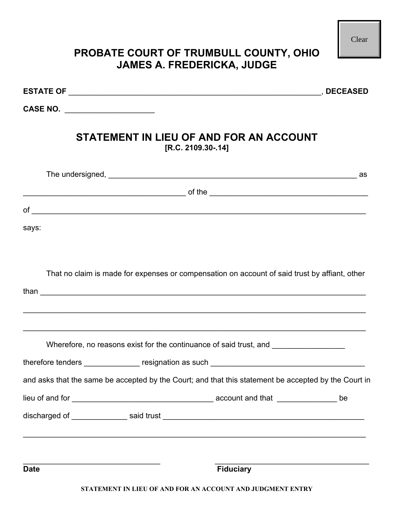| PROBATE COURT OF TRUMBULL COUNTY, OHIO                                                               | Clear |
|------------------------------------------------------------------------------------------------------|-------|
| <b>JAMES A. FREDERICKA, JUDGE</b>                                                                    |       |
|                                                                                                      |       |
| CASE NO. _____________________                                                                       |       |
| STATEMENT IN LIEU OF AND FOR AN ACCOUNT<br>[R.C. 2109.30-.14]                                        |       |
|                                                                                                      | as as |
| $\blacksquare$ of the $\blacksquare$                                                                 |       |
|                                                                                                      |       |
| says:                                                                                                |       |
| That no claim is made for expenses or compensation on account of said trust by affiant, other        |       |
| Wherefore, no reasons exist for the continuance of said trust, and                                   |       |
|                                                                                                      |       |
| and asks that the same be accepted by the Court; and that this statement be accepted by the Court in |       |
|                                                                                                      |       |
|                                                                                                      |       |
| <b>Fiduciary</b><br><b>Date</b><br>STATEMENT IN LIEU OF AND FOR AN ACCOUNT AND JUDGMENT ENTRY        |       |

Ш